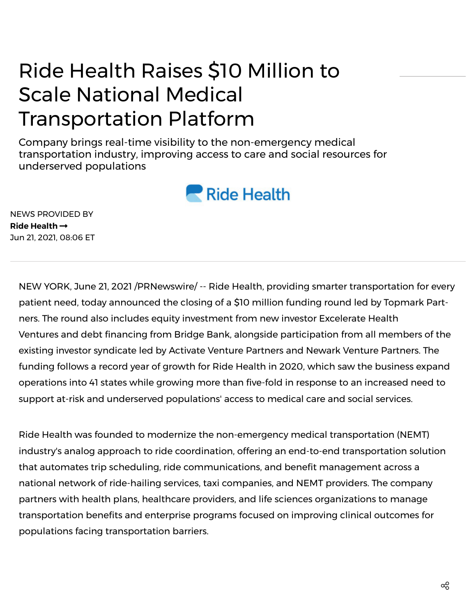## Ride Health Raises \$10 Million to Scale National Medical Transportation Platform

Company brings real-time visibility to the non-emergency medical transportation industry, improving access to care and social resources for underserved populations



NEWS PROVIDED BY **Ride [Health](https://www.prnewswire.com/news/ride-health/)** Jun 21, 2021, 08:06 ET

NEW YORK, June 21, 2021 /PRNewswire/ -- Ride [Health,](https://c212.net/c/link/?t=0&l=en&o=3201996-1&h=626452117&u=http%3A%2F%2Fwww.ridehealth.com%2F&a=Ride+Health) providing smarter transportation for every patient need, today [announced](https://c212.net/c/link/?t=0&l=en&o=3201996-1&h=656626806&u=https%3A%2F%2Ftopmarkpartners.com%2F&a=Topmark+Partners) the closing of a \$10 million funding round led by Topmark Partners. The round also includes equity investment from new investor Excelerate Health Ventures and debt financing from [Bridge](https://c212.net/c/link/?t=0&l=en&o=3201996-1&h=3353071704&u=https%3A%2F%2Fwww.westernalliancebancorporation.com%2Fbridge-bank-home&a=Bridge+Bank) Bank, alongside [participation](https://c212.net/c/link/?t=0&l=en&o=3201996-1&h=3249289888&u=https%3A%2F%2Fwww.exceleratehealth.com%2F&a=Excelerate+Health+Ventures) from all members of the existing investor syndicate led by Activate Venture [Partners](https://c212.net/c/link/?t=0&l=en&o=3201996-1&h=3554472434&u=https%3A%2F%2Fwww.activatevp.com%2F&a=Activate+Venture+Partners) and Newark Venture [Partners.](https://c212.net/c/link/?t=0&l=en&o=3201996-1&h=2909236354&u=https%3A%2F%2Fwww.newarkventurepartners.com%2F&a=Newark+Venture+Partners) The funding follows a record year of growth for Ride Health in 2020, which saw the business expand operations into 41 states while growing more than five-fold in response to an increased need to support at-risk and underserved populations' access to medical care and social services.

Ride Health was founded to modernize the non-emergency medical transportation (NEMT) industry's analog approach to ride coordination, offering an end-to-end transportation solution that automates trip scheduling, ride communications, and benefit management across a national network of ride-hailing services, taxi companies, and NEMT providers. The company partners with health plans, healthcare providers, and life sciences organizations to manage transportation benefits and enterprise programs focused on improving clinical outcomes for populations facing transportation barriers.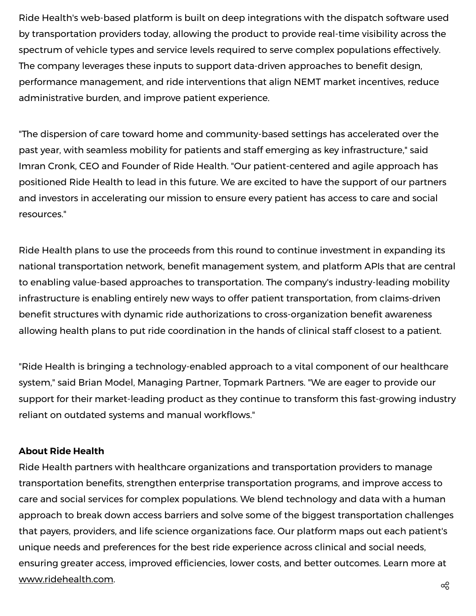Ride Health's web-based platform is built on deep integrations with the dispatch software used by transportation providers today, allowing the product to provide real-time visibility across the spectrum of vehicle types and service levels required to serve complex populations effectively. The company leverages these inputs to support data-driven approaches to benefit design, performance management, and ride interventions that align NEMT market incentives, reduce administrative burden, and improve patient experience.

"The dispersion of care toward home and community-based settings has accelerated over the past year, with seamless mobility for patients and staff emerging as key infrastructure," said Imran Cronk, CEO and Founder of Ride Health. "Our patient-centered and agile approach has positioned Ride Health to lead in this future. We are excited to have the support of our partners and investors in accelerating our mission to ensure every patient has access to care and social resources."

Ride Health plans to use the proceeds from this round to continue investment in expanding its national transportation network, benefit management system, and platform APIs that are central to enabling value-based approaches to transportation. The company's industry-leading mobility infrastructure is enabling entirely new ways to offer patient transportation, from claims-driven benefit structures with dynamic ride authorizations to cross-organization benefit awareness allowing health plans to put ride coordination in the hands of clinical staff closest to a patient.

"Ride Health is bringing a technology-enabled approach to a vital component of our healthcare system," said Brian Model, Managing Partner, Topmark Partners. "We are eager to provide our support for their market-leading product as they continue to transform this fast-growing industry reliant on outdated systems and manual workflows."

## **About Ride Health**

Ride Health partners with healthcare organizations and transportation providers to manage transportation benefits, strengthen enterprise transportation programs, and improve access to care and social services for complex populations. We blend technology and data with a human approach to break down access barriers and solve some of the biggest transportation challenges that payers, providers, and life science organizations face. Our platform maps out each patient's unique needs and preferences for the best ride experience across clinical and social needs, ensuring greater access, improved efficiencies, lower costs, and better outcomes. Learn more at [www.ridehealth.com](https://c212.net/c/link/?t=0&l=en&o=3201996-1&h=3974418488&u=http%3A%2F%2Fwww.ridehealth.com%2F&a=www.ridehealth.com).